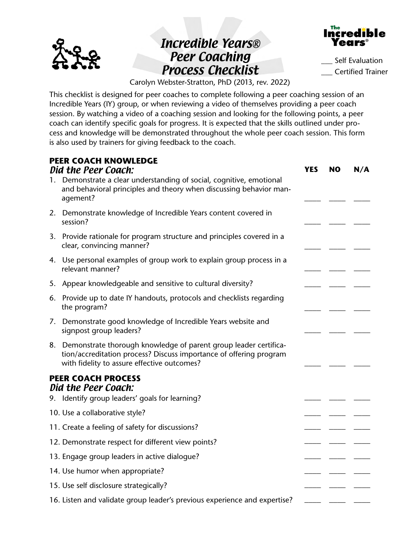

## Incredible Years® Peer Coaching Process Checklist



Self Evaluation \_\_\_ Certified Trainer

Carolyn Webster-Stratton, PhD (2013, rev. 2022)

This checklist is designed for peer coaches to complete following a peer coaching session of an Incredible Years (IY) group, or when reviewing a video of themselves providing a peer coach session. By watching a video of a coaching session and looking for the following points, a peer coach can identify specific goals for progress. It is expected that the skills outlined under process and knowledge will be demonstrated throughout the whole peer coach session. This form is also used by trainers for giving feedback to the coach.

|    | <b>PEER COACH KNOWLEDGE</b><br>Did the Peer Coach:                                                                                                                                       | <b>YES</b> | NO. | N/A |
|----|------------------------------------------------------------------------------------------------------------------------------------------------------------------------------------------|------------|-----|-----|
|    | 1. Demonstrate a clear understanding of social, cognitive, emotional<br>and behavioral principles and theory when discussing behavior man-<br>agement?                                   |            |     |     |
|    | 2. Demonstrate knowledge of Incredible Years content covered in<br>session?                                                                                                              |            |     |     |
|    | 3. Provide rationale for program structure and principles covered in a<br>clear, convincing manner?                                                                                      |            |     |     |
|    | 4. Use personal examples of group work to explain group process in a<br>relevant manner?                                                                                                 |            |     |     |
| 5. | Appear knowledgeable and sensitive to cultural diversity?                                                                                                                                |            |     |     |
|    | 6. Provide up to date IY handouts, protocols and checklists regarding<br>the program?                                                                                                    |            |     |     |
|    | 7. Demonstrate good knowledge of Incredible Years website and<br>signpost group leaders?                                                                                                 |            |     |     |
|    | 8. Demonstrate thorough knowledge of parent group leader certifica-<br>tion/accreditation process? Discuss importance of offering program<br>with fidelity to assure effective outcomes? |            |     |     |
|    | <b>PEER COACH PROCESS</b><br>Did the Peer Coach:                                                                                                                                         |            |     |     |
|    | 9. Identify group leaders' goals for learning?                                                                                                                                           |            |     |     |
|    | 10. Use a collaborative style?                                                                                                                                                           |            |     |     |
|    | 11. Create a feeling of safety for discussions?                                                                                                                                          |            |     |     |
|    | 12. Demonstrate respect for different view points?                                                                                                                                       |            |     |     |
|    | 13. Engage group leaders in active dialoque?                                                                                                                                             |            |     |     |
|    | 14. Use humor when appropriate?                                                                                                                                                          |            |     |     |
|    | 15. Use self disclosure strategically?                                                                                                                                                   |            |     |     |
|    | 16. Listen and validate group leader's previous experience and expertise?                                                                                                                |            |     |     |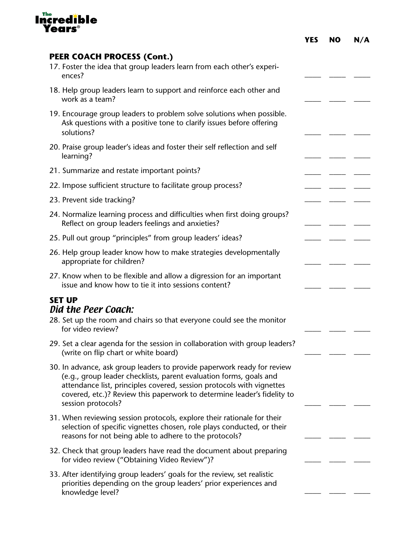

|                                                                                                                                                                                                                                                                                                                         | <b>YES</b> | <b>NO</b> | N/A |
|-------------------------------------------------------------------------------------------------------------------------------------------------------------------------------------------------------------------------------------------------------------------------------------------------------------------------|------------|-----------|-----|
| <b>PEER COACH PROCESS (Cont.)</b><br>17. Foster the idea that group leaders learn from each other's experi-<br>ences?                                                                                                                                                                                                   |            |           |     |
| 18. Help group leaders learn to support and reinforce each other and<br>work as a team?                                                                                                                                                                                                                                 |            |           |     |
| 19. Encourage group leaders to problem solve solutions when possible.<br>Ask questions with a positive tone to clarify issues before offering<br>solutions?                                                                                                                                                             |            |           |     |
| 20. Praise group leader's ideas and foster their self reflection and self<br>learning?                                                                                                                                                                                                                                  |            |           |     |
| 21. Summarize and restate important points?                                                                                                                                                                                                                                                                             |            |           |     |
| 22. Impose sufficient structure to facilitate group process?                                                                                                                                                                                                                                                            |            |           |     |
| 23. Prevent side tracking?                                                                                                                                                                                                                                                                                              |            |           |     |
| 24. Normalize learning process and difficulties when first doing groups?<br>Reflect on group leaders feelings and anxieties?                                                                                                                                                                                            |            |           |     |
| 25. Pull out group "principles" from group leaders' ideas?                                                                                                                                                                                                                                                              |            |           |     |
| 26. Help group leader know how to make strategies developmentally<br>appropriate for children?                                                                                                                                                                                                                          |            |           |     |
| 27. Know when to be flexible and allow a digression for an important<br>issue and know how to tie it into sessions content?                                                                                                                                                                                             |            |           |     |
| <b>SET UP</b><br>Did the Peer Coach:<br>28. Set up the room and chairs so that everyone could see the monitor                                                                                                                                                                                                           |            |           |     |
| for video review?                                                                                                                                                                                                                                                                                                       |            |           |     |
| 29. Set a clear agenda for the session in collaboration with group leaders?<br>(write on flip chart or white board)                                                                                                                                                                                                     |            |           |     |
| 30. In advance, ask group leaders to provide paperwork ready for review<br>(e.g., group leader checklists, parent evaluation forms, goals and<br>attendance list, principles covered, session protocols with vignettes<br>covered, etc.)? Review this paperwork to determine leader's fidelity to<br>session protocols? |            |           |     |
| 31. When reviewing session protocols, explore their rationale for their<br>selection of specific vignettes chosen, role plays conducted, or their<br>reasons for not being able to adhere to the protocols?                                                                                                             |            |           |     |
| 32. Check that group leaders have read the document about preparing<br>for video review ("Obtaining Video Review")?                                                                                                                                                                                                     |            |           |     |
| 33. After identifying group leaders' goals for the review, set realistic<br>priorities depending on the group leaders' prior experiences and<br>knowledge level?                                                                                                                                                        |            |           |     |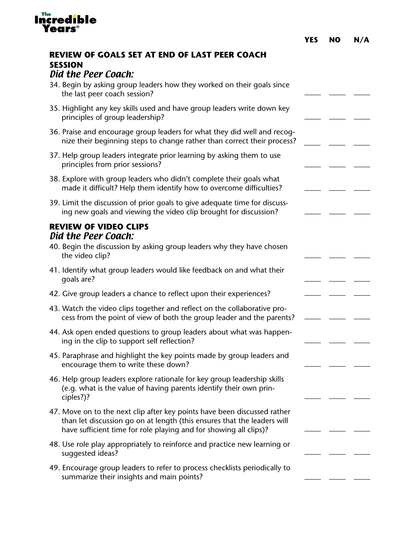| <b>Years</b> ®                                                                                                                                                                                                           | <b>YES</b> | <b>NO</b> | N/A |
|--------------------------------------------------------------------------------------------------------------------------------------------------------------------------------------------------------------------------|------------|-----------|-----|
| <b>REVIEW OF GOALS SET AT END OF LAST PEER COACH</b><br><b>SESSION</b>                                                                                                                                                   |            |           |     |
| Did the Peer Coach:                                                                                                                                                                                                      |            |           |     |
| 34. Begin by asking group leaders how they worked on their goals since<br>the last peer coach session?                                                                                                                   |            |           |     |
| 35. Highlight any key skills used and have group leaders write down key<br>principles of group leadership?                                                                                                               |            |           |     |
| 36. Praise and encourage group leaders for what they did well and recog-<br>nize their beginning steps to change rather than correct their process?                                                                      |            |           |     |
| 37. Help group leaders integrate prior learning by asking them to use<br>principles from prior sessions?                                                                                                                 |            |           |     |
| 38. Explore with group leaders who didn't complete their goals what<br>made it difficult? Help them identify how to overcome difficulties?                                                                               |            |           |     |
| 39. Limit the discussion of prior goals to give adequate time for discuss-<br>ing new goals and viewing the video clip brought for discussion?                                                                           |            |           |     |
| <b>REVIEW OF VIDEO CLIPS</b><br>Did the Peer Coach:<br>40. Begin the discussion by asking group leaders why they have chosen<br>the video clip?                                                                          |            |           |     |
| 41. Identify what group leaders would like feedback on and what their<br>qoals are?                                                                                                                                      |            |           |     |
| 42. Give group leaders a chance to reflect upon their experiences?                                                                                                                                                       |            |           |     |
| 43. Watch the video clips together and reflect on the collaborative pro-<br>cess from the point of view of both the group leader and the parents?                                                                        |            |           |     |
| 44. Ask open ended questions to group leaders about what was happen-<br>ing in the clip to support self reflection?                                                                                                      |            |           |     |
| 45. Paraphrase and highlight the key points made by group leaders and<br>encourage them to write these down?                                                                                                             |            |           |     |
| 46. Help group leaders explore rationale for key group leadership skills<br>(e.g. what is the value of having parents identify their own prin-<br>ciples?)?                                                              |            |           |     |
| 47. Move on to the next clip after key points have been discussed rather<br>than let discussion go on at length (this ensures that the leaders will<br>have sufficient time for role playing and for showing all clips)? |            |           |     |
| 48. Use role play appropriately to reinforce and practice new learning or<br>suggested ideas?                                                                                                                            |            |           |     |
| 49. Encourage group leaders to refer to process checklists periodically to<br>summarize their insights and main points?                                                                                                  |            |           |     |

Incredible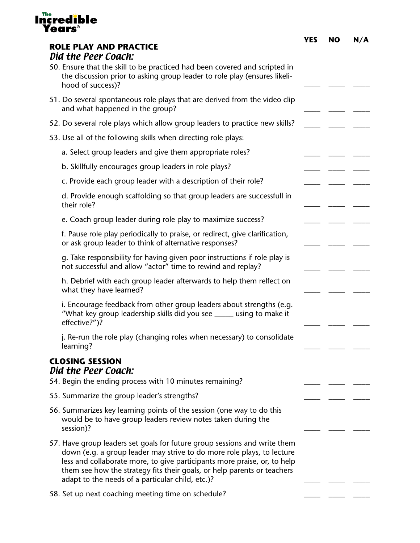